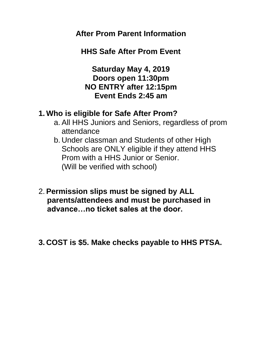**After Prom Parent Information**

**HHS Safe After Prom Event**

**Saturday May 4, 2019 Doors open 11:30pm NO ENTRY after 12:15pm Event Ends 2:45 am**

# **1. Who is eligible for Safe After Prom?**

- a. All HHS Juniors and Seniors, regardless of prom attendance
- b. Under classman and Students of other High Schools are ONLY eligible if they attend HHS Prom with a HHS Junior or Senior. (Will be verified with school)
- 2. **Permission slips must be signed by ALL parents/attendees and must be purchased in advance…no ticket sales at the door.**
- **3. COST is \$5. Make checks payable to HHS PTSA.**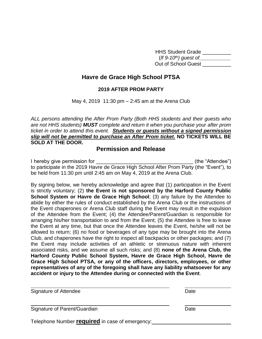| <b>HHS Student Grade</b>   |  |
|----------------------------|--|
| (If $9-10^{th}$ ) guest of |  |
| Out of School Guest        |  |

### **Havre de Grace High School PTSA**

#### **2019 AFTER PROM PARTY**

May 4, 2019 11:30 pm – 2:45 am at the Arena Club

*ALL persons attending the After Prom Party (Both HHS students and their guests who are not HHS students) MUST complete and return it when you purchase your after prom ticket in order to attend this event. Students or guests without a signed permission slip will not be permitted to purchase an After Prom ticket***. NO TICKETS WILL BE SOLD AT THE DOOR.**

### **Permission and Release**

I hereby give permission for **Example 20** (the "Attendee") to participate in the 2019 Havre de Grace High School After Prom Party (the "Event"), to be held from 11:30 pm until 2:45 am on May 4, 2019 at the Arena Club.

By signing below, we hereby acknowledge and agree that (1) participation in the Event is strictly voluntary; (2) **the Event is not sponsored by the Harford County Public School System or Havre de Grace High School**; (3) any failure by the Attendee to abide by either the rules of conduct established by the Arena Club or the instructions of the Event chaperones or Arena Club staff during the Event may result in the expulsion of the Attendee from the Event; (4) the Attendee/Parent/Guardian is responsible for arranging his/her transportation to and from the Event; (5) the Attendee is free to leave the Event at any time, but that once the Attendee leaves the Event, he/she will not be allowed to return; (6) no food or beverages of any type may be brought into the Arena Club, and chaperones have the right to inspect all backpacks or other packages; and (7) the Event may include activities of an athletic or strenuous nature with inherent associated risks, and we assume all such risks; and (8) **none of the Arena Club, the Harford County Public School System, Havre de Grace High School, Havre de Grace High School PTSA, or any of the officers, directors, employees, or other representatives of any of the foregoing shall have any liability whatsoever for any accident or injury to the Attendee during or connected with the Event**.

| Signature of Attendee                           | Date |  |
|-------------------------------------------------|------|--|
| Signature of Parent/Guardian                    | Date |  |
| Telephone Number required in case of emergency: |      |  |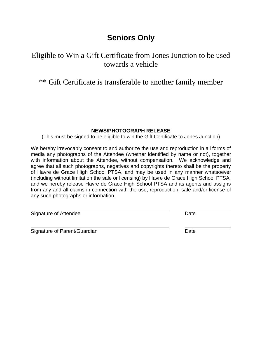# **Seniors Only**

## Eligible to Win a Gift Certificate from Jones Junction to be used towards a vehicle

## \*\* Gift Certificate is transferable to another family member

#### **NEWS/PHOTOGRAPH RELEASE**

(This must be signed to be eligible to win the Gift Certificate to Jones Junction)

We hereby irrevocably consent to and authorize the use and reproduction in all forms of media any photographs of the Attendee (whether identified by name or not), together with information about the Attendee, without compensation. We acknowledge and agree that all such photographs, negatives and copyrights thereto shall be the property of Havre de Grace High School PTSA, and may be used in any manner whatsoever (including without limitation the sale or licensing) by Havre de Grace High School PTSA, and we hereby release Havre de Grace High School PTSA and its agents and assigns from any and all claims in connection with the use, reproduction, sale and/or license of any such photographs or information.

Signature of Attendee Date Date

Signature of Parent/Guardian Date Date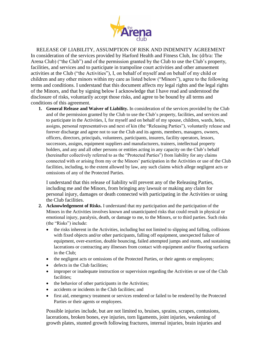

RELEASE OF LIABILITY, ASSUMPTION OF RISK AND INDEMNITY AGREEMENT In consideration of the services provided by Harford Health and Fitness Club, Inc (d/b/a: The Arena Club) ("the Club") and of the permission granted by the Club to use the Club's property, facilities, and services and to participate in trampoline court activities and other amusement activities at the Club ("the Activities"), I, on behalf of myself and on behalf of my child or children and any other minors within my care as listed below ("Minors"), agree to the following terms and conditions. I understand that this document affects my legal rights and the legal rights of the Minors, and that by signing below I acknowledge that I have read and understood the disclosure of risks, voluntarily accept those risks, and agree to be bound by all terms and conditions of this agreement.

**1. General Release and Waiver of Liability.** In consideration of the services provided by the Club and of the permission granted by the Club to use the Club's property, facilities, and services and to participate in the Activities, I, for myself and on behalf of my spouse, children, wards, heirs, assigns, personal representatives and next of kin (the "Releasing Parties"), voluntarily release and forever discharge and agree not to sue the Club and its agents, members, managers, owners, officers, directors, principals, volunteers, participants, insurers, facility operators, lessors, successors, assigns, equipment suppliers and manufacturers, trainers, intellectual property holders, and any and all other persons or entities acting in any capacity on the Club's behalf (hereinafter collectively referred to as the "Protected Parties") from liability for any claims connected with or arising from my or the Minors' participation in the Activities or use of the Club facilities, including, to the extent allowed by law, any such claims which allege negligent acts or omissions of any of the Protected Parties.

I understand that this release of liability will prevent any of the Releasing Parties, including me and the Minors, from bringing any lawsuit or making any claim for personal injury, damages or death connected with participating in the Activities or using the Club facilities.

- **2. Acknowledgement of Risks.** I understand that my participation and the participation of the Minors in the Activities involves known and unanticipated risks that could result in physical or emotional injury, paralysis, death, or damage to me, to the Minors, or to third parties. Such risks (the "Risks") include:
	- the risks inherent in the Activities, including but not limited to slipping and falling, collisions with fixed objects and/or other participants, falling off equipment, unexpected failure of equipment, over-exertion, double bouncing, failed attempted jumps and stunts, and sustaining lacerations or contracting any illnesses from contact with equipment and/or flooring surfaces in the Club;
	- the negligent acts or omissions of the Protected Parties, or their agents or employees;
	- defects in the Club facilities;
	- improper or inadequate instruction or supervision regarding the Activities or use of the Club facilities;
	- the behavior of other participants in the Activities;
	- accidents or incidents in the Club facilities; and
	- first aid, emergency treatment or services rendered or failed to be rendered by the Protected Parties or their agents or employees.

Possible injuries include, but are not limited to, bruises, sprains, scrapes, contusions, lacerations, broken bones, eye injuries, torn ligaments, joint injuries, weakening of growth plates, stunted growth following fractures, internal injuries, brain injuries and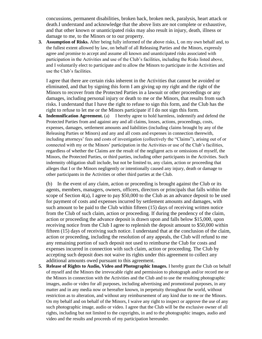concussions, permanent disabilities, broken back, broken neck, paralysis, heart attack or death.I understand and acknowledge that the above lists are not complete or exhaustive, and that other known or unanticipated risks may also result in injury, death, illness or damage to me, to the Minors or to our property.

**3. Assumption of Risks.** After being fully informed of the above risks, I, on my own behalf and, to the fullest extent allowed by law, on behalf of all Releasing Parties and the Minors, expressly agree and promise to accept and assume all known and unanticipated risks associated with participation in the Activities and use of the Club's facilities, including the Risks listed above, and I voluntarily elect to participate and to allow the Minors to participate in the Activities and use the Club's facilities.

I agree that there are certain risks inherent in the Activities that cannot be avoided or eliminated, and that by signing this form I am giving up my right and the right of the Minors to recover from the Protected Parties in a lawsuit or other proceedings or any damages, including personal injury or death to me or the Minors, that results from such risks. I understand that I have the right to refuse to sign this form, and the Club has the right to refuse to let me or the Minors participate if I do not sign this form.

**4. Indemnification Agreement.** (a) I hereby agree to hold harmless, indemnify and defend the Protected Parties from and against any and all claims, losses, actions, proceedings, costs, expenses, damages, settlement amounts and liabilities (including claims brought by any of the Releasing Parties or Minors) and any and all costs and expenses in connection therewith, including attorneys' fees and costs of investigation (collectively the "Claims"), arising out of or connected with my or the Minors' participation in the Activities or use of the Club's facilities, regardless of whether the Claims are the result of the negligent acts or omissions of myself, the Minors, the Protected Parties, or third parties, including other participants in the Activities. Such indemnity obligation shall include, but not be limited to, any claim, action or proceeding that alleges that I or the Minors negligently or intentionally caused any injury, death or damage to other participants in the Activities or other third parties at the Club.

(b) In the event of any claim, action or proceeding is brought against the Club or its agents, members, managers, owners, officers, directors or principals that falls within the scope of Section 4(a), I agree to pay \$50,000 to the Club as an advance deposit to be used for payment of costs and expenses incurred by settlement amounts and damages, with such amount to be paid to the Club within fifteen (15) days of receiving written notice from the Club of such claim, action or proceeding. If during the pendency of the claim, action or proceeding the advance deposit is drawn upon and falls below \$15,000, upon receiving notice from the Club I agree to replenish the deposit amount to \$50,000 within fifteen (15) days of receiving such notice. I understand that at the conclusion of the claim, action or proceeding, including the resolution of any appeals, the Club will refund to me any remaining portion of such deposit not used to reimburse the Club for costs and expenses incurred in connection with such claim, action or proceeding. The Club by accepting such deposit does not waive its rights under this agreement to collect any additional amounts owed pursuant to this agreement.

**5. Release of Rights to Audio, Video and Photographic Images.** I hereby grant the Club on behalf of myself and the Minors the irrevocable right and permission to photograph and/or record me or the Minors in connection with the Activities and the Club and to use the resulting photographic images, audio or video for all purposes, including advertising and promotional purposes, in any matter and in any media now or hereafter known, in perpetuity throughout the world, without restriction as to alteration, and without any reimbursement of any kind due to me or the Minors. On my behalf and on behalf of the Minors, I waive any right to inspect or approve the use of any such photographic image, audio or video. I agree that the Club will be the exclusive owner of all rights, including but not limited to the copyrights, in and to the photographic images, audio and video and the results and proceeds of my participation hereunder.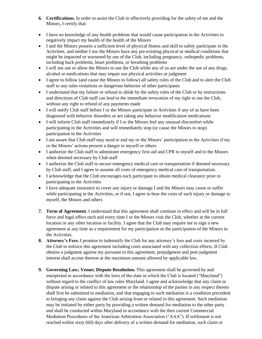- **6. Certifications.** In order to assist the Club in effectively providing for the safety of me and the Minors, I certify that:
- I have no knowledge of any health problems that would cause participation in the Activities to negatively impact my health of the health of the Minors
- I and the Minors possess a sufficient level of physical fitness and skill to safely participate in the Activities, and neither I nor the Minors have any pre-existing physical or medical conditions that might be impacted or worsened by use of the Club, including pregnancy, orthopedic problems, including back problems, heart problems, or breathing problems
- I will not use or allow the Minors to use the Club while any of us are under the use of any drugs. alcohol or medications that may impair our physical activities or judgment
- I agree to follow (and cause the Minors to follow) all safety rules of the Club and to alert the Club staff to any rules violations or dangerous behavior of other participants
- I understand that my failure or refusal to abide by the safety rules of the Club or by instructions and directions of Club staff can lead to the immediate revocation of my right to use the Club, without any right to refund of any payments made
- I will notify Club staff before I or the Minors participate in Activities if any of us have been diagnosed with behavior disorders or are taking any behavior modification medications
- I will inform Club staff immediately if I or the Minors feel any unusual discomfort while participating in the Activities and will immediately stop (or cause the Minors to stop) participation in the Activities
- I am aware that Club staff may need to end my or the Minors' participation in the Activities if my or the Minors' actions present a danger to myself or others
- I authorize the Club staff to administer emergency first aid and CPR to myself and to the Minors when deemed necessary by Club staff
- I authorize the Club staff to secure emergency medical care or transportation if deemed necessary by Club staff, and I agree to assume all costs of emergency medical care of transportation.
- I acknowledge that the Club encourages each participant to obtain medical clearance prior to participating in the Activities
- I have adequate insurance to cover any injury or damage I and the Minors may cause or suffer while participating in the Activities, or if not, I agree to bear the costs of such injury or damage to myself, the Minors and others
- **7. Term of Agreement.** I understand that this agreement shall continue in effect and will be in full force and legal effect each and every time I or the Minors visit the Club, whether at the current location or any other location or facility. I agree that the Club may require me to sign a new agreement at any time as a requirement for my participation or the participation of the Minors in the Activities.
- **8. Attorney's Fees.** I promise to indemnify the Club for any attorney's fees and costs incurred by the Club to enforce this agreement including costs associated with any collection efforts. If Club obtains a judgment against my pursuant to this agreement, prejudgment and post-judgment interest shall accrue thereon at the maximum amount allowed by applicable law.
- **9. Governing Law; Venue; Dispute Resolution.** This agreement shall be governed by and interpreted in accordance with the laws of the state in which the Club is located ("Maryland") without regard to the conflict of law rules Maryland. I agree and acknowledge that any claim or dispute arising or related to this agreement or the relationship of the parties in any respect thereto shall first be submitted to mediation, and that engaging in such mediation is a condition precedent to bringing any claim against the Club arising from or related to this agreement. Such mediation may be initiated by either party by providing a written demand for mediation to the other party and shall be conducted within Maryland in accordance with the then current Commercial Mediation Procedures of the American Arbitration Association ("AAA"). If settlement is not reached within sixty (60) days after delivery of a written demand for mediation, such claim or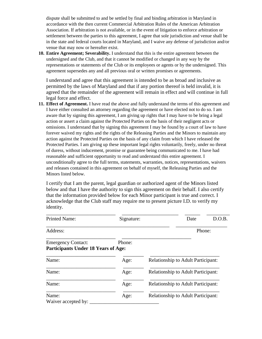dispute shall be submitted to and be settled by final and binding arbitration in Maryland in accordance with the then current Commercial Arbitration Rules of the American Arbitration Association. If arbitration is not available, or in the event of litigation to enforce arbitration or settlement between the parties to this agreement, I agree that sole jurisdiction and venue shall be in the state and federal courts located in Maryland, and I waive any defense of jurisdiction and/or venue that may now or hereafter exist.

**10. Entire Agreement; Severability.** I understand that this is the entire agreement between the undersigned and the Club, and that it cannot be modified or changed in any way by the representations or statements of the Club or its employees or agents or by the undersigned. This agreement supersedes any and all previous oral or written promises or agreements.

I understand and agree that this agreement is intended to be as broad and inclusive as permitted by the laws of Maryland and that if any portion thereof is held invalid, it is agreed that the remainder of the agreement will remain in effect and will continue in full legal force and effect.

**11. Effect of Agreement.** I have read the above and fully understand the terms of this agreement and I have either consulted an attorney regarding the agreement or have elected not to do so. I am aware that by signing this agreement, I am giving up rights that I may have to be bring a legal action or assert a claim against the Protected Parties on the basis of their negligent acts or omissions. I understand that by signing this agreement I may be found by a court of law to have forever waived my rights and the rights of the Releasing Parties and the Minors to maintain any action against the Protected Parties on the basis of any claim from which I have released the Protected Parties. I am giving up these important legal rights voluntarily, freely, under no threat of duress, without inducement, promise or guarantee being communicated to me. I have had reasonable and sufficient opportunity to read and understand this entire agreement. I unconditionally agree to the full terms, statements, warranties, notices, representations, waivers and releases contained in this agreement on behalf of myself, the Releasing Parties and the Minors listed below.

I certify that I am the parent, legal guardian or authorized agent of the Minors listed below and that I have the authority to sign this agreement on their behalf. I also certify that the information provided below for each Minor participant is true and correct. I acknowledge that the Club staff may require me to present picture I.D. to verify my identity.

| <b>Printed Name:</b>                                                    | Signature: |                                           | Date   | D.O.B. |
|-------------------------------------------------------------------------|------------|-------------------------------------------|--------|--------|
| Address:                                                                |            |                                           | Phone: |        |
| <b>Emergency Contact:</b><br><b>Participants Under 18 Years of Age:</b> | Phone:     |                                           |        |        |
| Name:                                                                   | Age:       | Relationship to Adult Participant:        |        |        |
| Name:                                                                   | Age:       | <b>Relationship to Adult Participant:</b> |        |        |
| Name:                                                                   | Age:       | <b>Relationship to Adult Participant:</b> |        |        |
| Name:<br>Waiver accepted by:                                            | Age:       | <b>Relationship to Adult Participant:</b> |        |        |